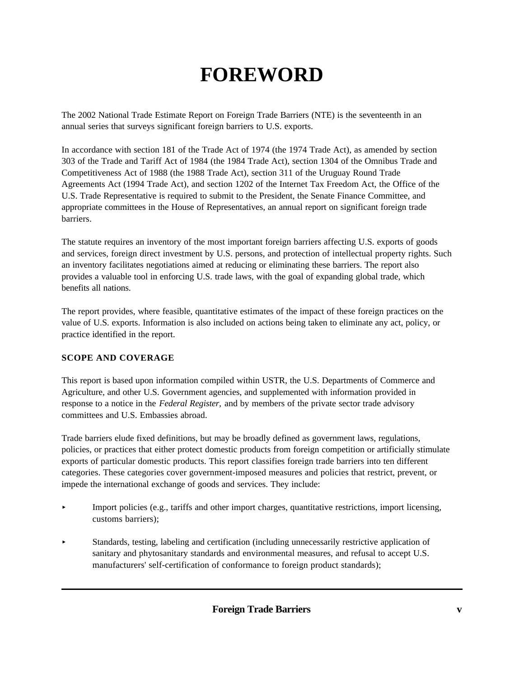# **FOREWORD**

The 2002 National Trade Estimate Report on Foreign Trade Barriers (NTE) is the seventeenth in an annual series that surveys significant foreign barriers to U.S. exports.

In accordance with section 181 of the Trade Act of 1974 (the 1974 Trade Act), as amended by section 303 of the Trade and Tariff Act of 1984 (the 1984 Trade Act), section 1304 of the Omnibus Trade and Competitiveness Act of 1988 (the 1988 Trade Act), section 311 of the Uruguay Round Trade Agreements Act (1994 Trade Act), and section 1202 of the Internet Tax Freedom Act, the Office of the U.S. Trade Representative is required to submit to the President, the Senate Finance Committee, and appropriate committees in the House of Representatives, an annual report on significant foreign trade barriers.

The statute requires an inventory of the most important foreign barriers affecting U.S. exports of goods and services, foreign direct investment by U.S. persons, and protection of intellectual property rights. Such an inventory facilitates negotiations aimed at reducing or eliminating these barriers. The report also provides a valuable tool in enforcing U.S. trade laws, with the goal of expanding global trade, which benefits all nations.

The report provides, where feasible, quantitative estimates of the impact of these foreign practices on the value of U.S. exports. Information is also included on actions being taken to eliminate any act, policy, or practice identified in the report.

#### **SCOPE AND COVERAGE**

This report is based upon information compiled within USTR, the U.S. Departments of Commerce and Agriculture, and other U.S. Government agencies, and supplemented with information provided in response to a notice in the *Federal Register,* and by members of the private sector trade advisory committees and U.S. Embassies abroad.

Trade barriers elude fixed definitions, but may be broadly defined as government laws, regulations, policies, or practices that either protect domestic products from foreign competition or artificially stimulate exports of particular domestic products. This report classifies foreign trade barriers into ten different categories. These categories cover government-imposed measures and policies that restrict, prevent, or impede the international exchange of goods and services. They include:

- < Import policies (e.g., tariffs and other import charges, quantitative restrictions, import licensing, customs barriers);
- < Standards, testing, labeling and certification (including unnecessarily restrictive application of sanitary and phytosanitary standards and environmental measures, and refusal to accept U.S. manufacturers' self-certification of conformance to foreign product standards);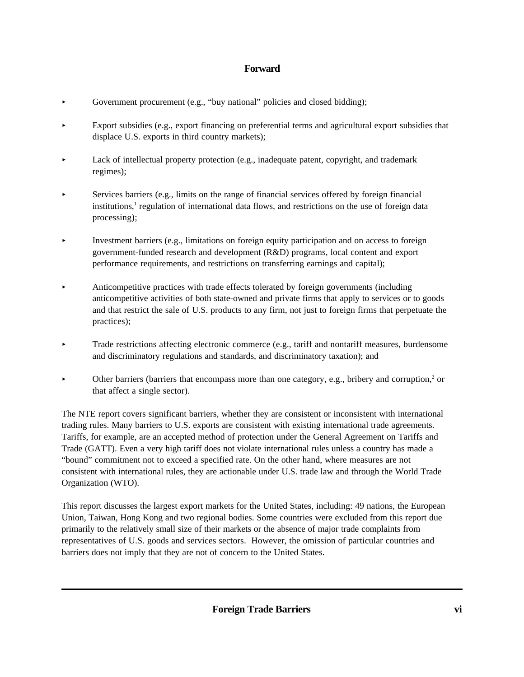- < Government procurement (e.g., "buy national" policies and closed bidding);
- < Export subsidies (e.g., export financing on preferential terms and agricultural export subsidies that displace U.S. exports in third country markets);
- Lack of intellectual property protection (e.g., inadequate patent, copyright, and trademark regimes);
- $\blacktriangleright$  Services barriers (e.g., limits on the range of financial services offered by foreign financial institutions,<sup>1</sup> regulation of international data flows, and restrictions on the use of foreign data processing);
- $\blacktriangleright$  Investment barriers (e.g., limitations on foreign equity participation and on access to foreign government-funded research and development (R&D) programs, local content and export performance requirements, and restrictions on transferring earnings and capital);
- < Anticompetitive practices with trade effects tolerated by foreign governments (including anticompetitive activities of both state-owned and private firms that apply to services or to goods and that restrict the sale of U.S. products to any firm, not just to foreign firms that perpetuate the practices);
- $\blacktriangleright$  Trade restrictions affecting electronic commerce (e.g., tariff and nontariff measures, burdensome and discriminatory regulations and standards, and discriminatory taxation); and
- $\blacktriangleright$  Other barriers (barriers that encompass more than one category, e.g., bribery and corruption,<sup>2</sup> or that affect a single sector).

The NTE report covers significant barriers, whether they are consistent or inconsistent with international trading rules. Many barriers to U.S. exports are consistent with existing international trade agreements. Tariffs, for example, are an accepted method of protection under the General Agreement on Tariffs and Trade (GATT). Even a very high tariff does not violate international rules unless a country has made a "bound" commitment not to exceed a specified rate. On the other hand, where measures are not consistent with international rules, they are actionable under U.S. trade law and through the World Trade Organization (WTO).

This report discusses the largest export markets for the United States, including: 49 nations, the European Union, Taiwan, Hong Kong and two regional bodies. Some countries were excluded from this report due primarily to the relatively small size of their markets or the absence of major trade complaints from representatives of U.S. goods and services sectors. However, the omission of particular countries and barriers does not imply that they are not of concern to the United States.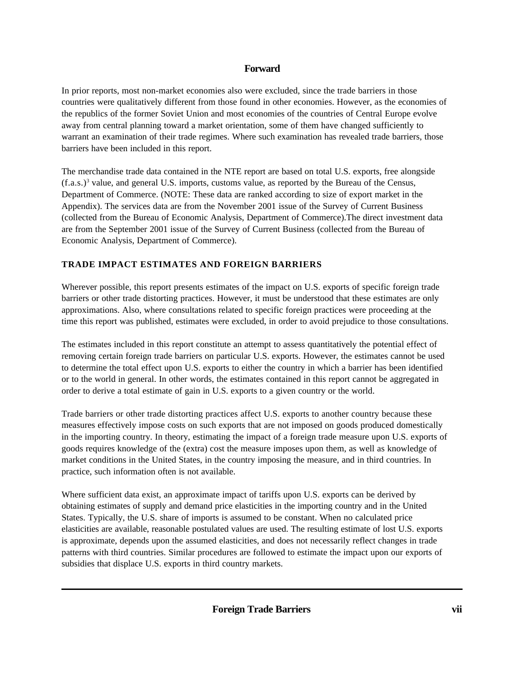In prior reports, most non-market economies also were excluded, since the trade barriers in those countries were qualitatively different from those found in other economies. However, as the economies of the republics of the former Soviet Union and most economies of the countries of Central Europe evolve away from central planning toward a market orientation, some of them have changed sufficiently to warrant an examination of their trade regimes. Where such examination has revealed trade barriers, those barriers have been included in this report.

The merchandise trade data contained in the NTE report are based on total U.S. exports, free alongside  $(f.a.s.)<sup>3</sup>$  value, and general U.S. imports, customs value, as reported by the Bureau of the Census, Department of Commerce. (NOTE: These data are ranked according to size of export market in the Appendix). The services data are from the November 2001 issue of the Survey of Current Business (collected from the Bureau of Economic Analysis, Department of Commerce).The direct investment data are from the September 2001 issue of the Survey of Current Business (collected from the Bureau of Economic Analysis, Department of Commerce).

## **TRADE IMPACT ESTIMATES AND FOREIGN BARRIERS**

Wherever possible, this report presents estimates of the impact on U.S. exports of specific foreign trade barriers or other trade distorting practices. However, it must be understood that these estimates are only approximations. Also, where consultations related to specific foreign practices were proceeding at the time this report was published, estimates were excluded, in order to avoid prejudice to those consultations.

The estimates included in this report constitute an attempt to assess quantitatively the potential effect of removing certain foreign trade barriers on particular U.S. exports. However, the estimates cannot be used to determine the total effect upon U.S. exports to either the country in which a barrier has been identified or to the world in general. In other words, the estimates contained in this report cannot be aggregated in order to derive a total estimate of gain in U.S. exports to a given country or the world.

Trade barriers or other trade distorting practices affect U.S. exports to another country because these measures effectively impose costs on such exports that are not imposed on goods produced domestically in the importing country. In theory, estimating the impact of a foreign trade measure upon U.S. exports of goods requires knowledge of the (extra) cost the measure imposes upon them, as well as knowledge of market conditions in the United States, in the country imposing the measure, and in third countries. In practice, such information often is not available.

Where sufficient data exist, an approximate impact of tariffs upon U.S. exports can be derived by obtaining estimates of supply and demand price elasticities in the importing country and in the United States. Typically, the U.S. share of imports is assumed to be constant. When no calculated price elasticities are available, reasonable postulated values are used. The resulting estimate of lost U.S. exports is approximate, depends upon the assumed elasticities, and does not necessarily reflect changes in trade patterns with third countries. Similar procedures are followed to estimate the impact upon our exports of subsidies that displace U.S. exports in third country markets.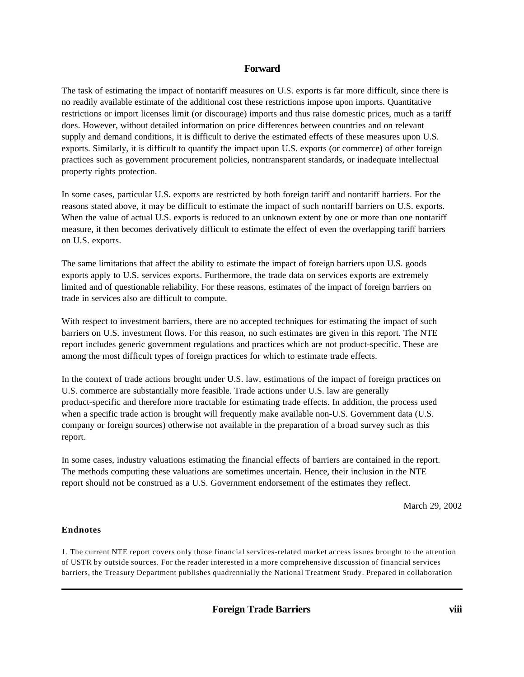The task of estimating the impact of nontariff measures on U.S. exports is far more difficult, since there is no readily available estimate of the additional cost these restrictions impose upon imports. Quantitative restrictions or import licenses limit (or discourage) imports and thus raise domestic prices, much as a tariff does. However, without detailed information on price differences between countries and on relevant supply and demand conditions, it is difficult to derive the estimated effects of these measures upon U.S. exports. Similarly, it is difficult to quantify the impact upon U.S. exports (or commerce) of other foreign practices such as government procurement policies, nontransparent standards, or inadequate intellectual property rights protection.

In some cases, particular U.S. exports are restricted by both foreign tariff and nontariff barriers. For the reasons stated above, it may be difficult to estimate the impact of such nontariff barriers on U.S. exports. When the value of actual U.S. exports is reduced to an unknown extent by one or more than one nontariff measure, it then becomes derivatively difficult to estimate the effect of even the overlapping tariff barriers on U.S. exports.

The same limitations that affect the ability to estimate the impact of foreign barriers upon U.S. goods exports apply to U.S. services exports. Furthermore, the trade data on services exports are extremely limited and of questionable reliability. For these reasons, estimates of the impact of foreign barriers on trade in services also are difficult to compute.

With respect to investment barriers, there are no accepted techniques for estimating the impact of such barriers on U.S. investment flows. For this reason, no such estimates are given in this report. The NTE report includes generic government regulations and practices which are not product-specific. These are among the most difficult types of foreign practices for which to estimate trade effects.

In the context of trade actions brought under U.S. law, estimations of the impact of foreign practices on U.S. commerce are substantially more feasible. Trade actions under U.S. law are generally product-specific and therefore more tractable for estimating trade effects. In addition, the process used when a specific trade action is brought will frequently make available non-U.S. Government data (U.S. company or foreign sources) otherwise not available in the preparation of a broad survey such as this report.

In some cases, industry valuations estimating the financial effects of barriers are contained in the report. The methods computing these valuations are sometimes uncertain. Hence, their inclusion in the NTE report should not be construed as a U.S. Government endorsement of the estimates they reflect.

March 29, 2002

#### **Endnotes**

1. The current NTE report covers only those financial services-related market access issues brought to the attention of USTR by outside sources. For the reader interested in a more comprehensive discussion of financial services barriers, the Treasury Department publishes quadrennially the National Treatment Study. Prepared in collaboration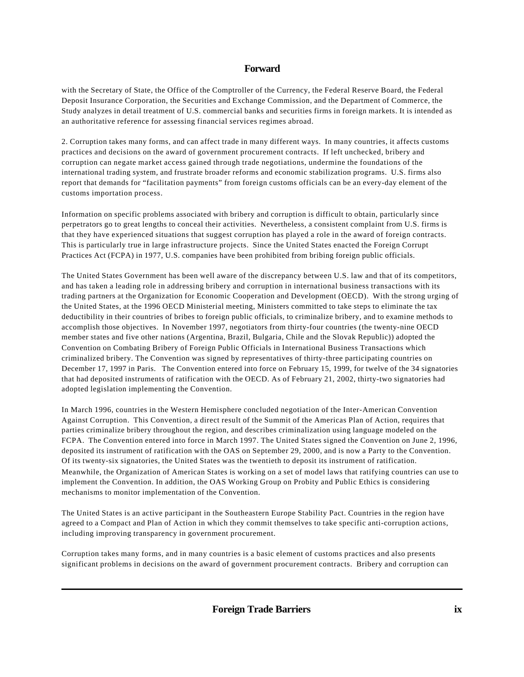with the Secretary of State, the Office of the Comptroller of the Currency, the Federal Reserve Board, the Federal Deposit Insurance Corporation, the Securities and Exchange Commission, and the Department of Commerce, the Study analyzes in detail treatment of U.S. commercial banks and securities firms in foreign markets. It is intended as an authoritative reference for assessing financial services regimes abroad.

2. Corruption takes many forms, and can affect trade in many different ways. In many countries, it affects customs practices and decisions on the award of government procurement contracts. If left unchecked, bribery and corruption can negate market access gained through trade negotiations, undermine the foundations of the international trading system, and frustrate broader reforms and economic stabilization programs. U.S. firms also report that demands for "facilitation payments" from foreign customs officials can be an every-day element of the customs importation process.

Information on specific problems associated with bribery and corruption is difficult to obtain, particularly since perpetrators go to great lengths to conceal their activities. Nevertheless, a consistent complaint from U.S. firms is that they have experienced situations that suggest corruption has played a role in the award of foreign contracts. This is particularly true in large infrastructure projects. Since the United States enacted the Foreign Corrupt Practices Act (FCPA) in 1977, U.S. companies have been prohibited from bribing foreign public officials.

The United States Government has been well aware of the discrepancy between U.S. law and that of its competitors, and has taken a leading role in addressing bribery and corruption in international business transactions with its trading partners at the Organization for Economic Cooperation and Development (OECD). With the strong urging of the United States, at the 1996 OECD Ministerial meeting, Ministers committed to take steps to eliminate the tax deductibility in their countries of bribes to foreign public officials, to criminalize bribery, and to examine methods to accomplish those objectives. In November 1997, negotiators from thirty-four countries (the twenty-nine OECD member states and five other nations (Argentina, Brazil, Bulgaria, Chile and the Slovak Republic)) adopted the Convention on Combating Bribery of Foreign Public Officials in International Business Transactions which criminalized bribery. The Convention was signed by representatives of thirty-three participating countries on December 17, 1997 in Paris. The Convention entered into force on February 15, 1999, for twelve of the 34 signatories that had deposited instruments of ratification with the OECD. As of February 21, 2002, thirty-two signatories had adopted legislation implementing the Convention.

In March 1996, countries in the Western Hemisphere concluded negotiation of the Inter-American Convention Against Corruption. This Convention, a direct result of the Summit of the Americas Plan of Action, requires that parties criminalize bribery throughout the region, and describes criminalization using language modeled on the FCPA. The Convention entered into force in March 1997. The United States signed the Convention on June 2, 1996, deposited its instrument of ratification with the OAS on September 29, 2000, and is now a Party to the Convention. Of its twenty-six signatories, the United States was the twentieth to deposit its instrument of ratification. Meanwhile, the Organization of American States is working on a set of model laws that ratifying countries can use to implement the Convention. In addition, the OAS Working Group on Probity and Public Ethics is considering mechanisms to monitor implementation of the Convention.

The United States is an active participant in the Southeastern Europe Stability Pact. Countries in the region have agreed to a Compact and Plan of Action in which they commit themselves to take specific anti-corruption actions, including improving transparency in government procurement.

Corruption takes many forms, and in many countries is a basic element of customs practices and also presents significant problems in decisions on the award of government procurement contracts. Bribery and corruption can